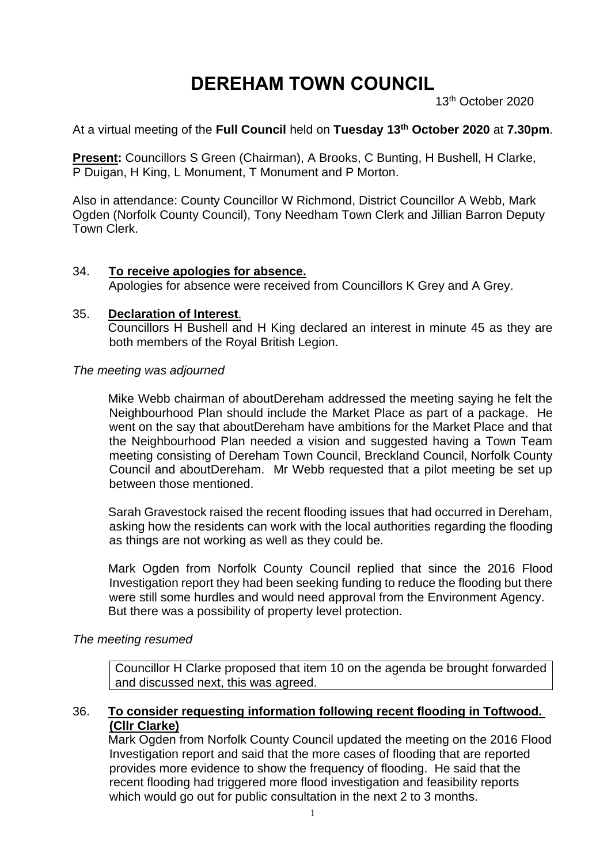# **DEREHAM TOWN COUNCIL**

13th October 2020

## At a virtual meeting of the **Full Council** held on **Tuesday 13th October 2020** at **7.30pm**.

**Present:** Councillors S Green (Chairman), A Brooks, C Bunting, H Bushell, H Clarke, P Duigan, H King, L Monument, T Monument and P Morton.

Also in attendance: County Councillor W Richmond, District Councillor A Webb, Mark Ogden (Norfolk County Council), Tony Needham Town Clerk and Jillian Barron Deputy Town Clerk.

#### 34. **To receive apologies for absence.**

Apologies for absence were received from Councillors K Grey and A Grey.

#### 35. **Declaration of Interest**.

Councillors H Bushell and H King declared an interest in minute 45 as they are both members of the Royal British Legion.

#### *The meeting was adjourned*

Mike Webb chairman of aboutDereham addressed the meeting saying he felt the Neighbourhood Plan should include the Market Place as part of a package. He went on the say that aboutDereham have ambitions for the Market Place and that the Neighbourhood Plan needed a vision and suggested having a Town Team meeting consisting of Dereham Town Council, Breckland Council, Norfolk County Council and aboutDereham. Mr Webb requested that a pilot meeting be set up between those mentioned.

Sarah Gravestock raised the recent flooding issues that had occurred in Dereham, asking how the residents can work with the local authorities regarding the flooding as things are not working as well as they could be.

Mark Ogden from Norfolk County Council replied that since the 2016 Flood Investigation report they had been seeking funding to reduce the flooding but there were still some hurdles and would need approval from the Environment Agency. But there was a possibility of property level protection.

### *The meeting resumed*

Councillor H Clarke proposed that item 10 on the agenda be brought forwarded and discussed next, this was agreed.

#### 36. **To consider requesting information following recent flooding in Toftwood. (Cllr Clarke)**

Mark Ogden from Norfolk County Council updated the meeting on the 2016 Flood Investigation report and said that the more cases of flooding that are reported provides more evidence to show the frequency of flooding. He said that the recent flooding had triggered more flood investigation and feasibility reports which would go out for public consultation in the next 2 to 3 months.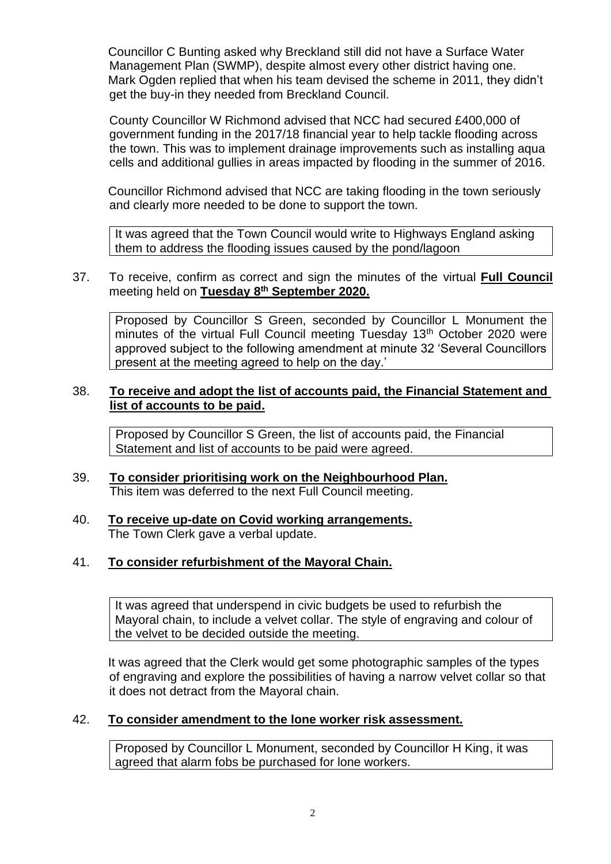Councillor C Bunting asked why Breckland still did not have a Surface Water Management Plan (SWMP), despite almost every other district having one. Mark Ogden replied that when his team devised the scheme in 2011, they didn't get the buy-in they needed from Breckland Council.

County Councillor W Richmond advised that NCC had secured £400,000 of government funding in the 2017/18 financial year to help tackle flooding across the town. This was to implement drainage improvements such as installing aqua cells and additional gullies in areas impacted by flooding in the summer of 2016.

Councillor Richmond advised that NCC are taking flooding in the town seriously and clearly more needed to be done to support the town.

It was agreed that the Town Council would write to Highways England asking them to address the flooding issues caused by the pond/lagoon

#### 37. To receive, confirm as correct and sign the minutes of the virtual **Full Council**  meeting held on **Tuesday 8 th September 2020.**

Proposed by Councillor S Green, seconded by Councillor L Monument the minutes of the virtual Full Council meeting Tuesday 13<sup>th</sup> October 2020 were approved subject to the following amendment at minute 32 'Several Councillors present at the meeting agreed to help on the day.'

## 38. **To receive and adopt the list of accounts paid, the Financial Statement and list of accounts to be paid.**

Proposed by Councillor S Green, the list of accounts paid, the Financial Statement and list of accounts to be paid were agreed.

## 39. **To consider prioritising work on the Neighbourhood Plan.** This item was deferred to the next Full Council meeting.

40. **To receive up-date on Covid working arrangements.** The Town Clerk gave a verbal update.

# 41. **To consider refurbishment of the Mayoral Chain.**

It was agreed that underspend in civic budgets be used to refurbish the Mayoral chain, to include a velvet collar. The style of engraving and colour of the velvet to be decided outside the meeting.

It was agreed that the Clerk would get some photographic samples of the types of engraving and explore the possibilities of having a narrow velvet collar so that it does not detract from the Mayoral chain.

## 42. **To consider amendment to the lone worker risk assessment.**

Proposed by Councillor L Monument, seconded by Councillor H King, it was agreed that alarm fobs be purchased for lone workers.